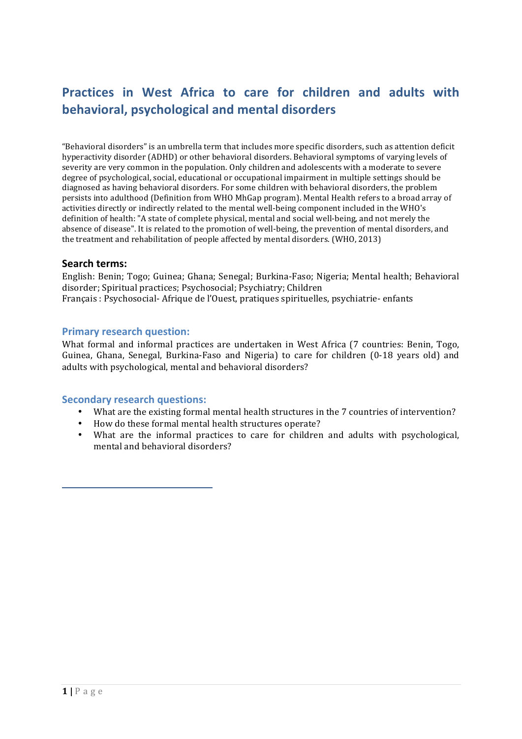# **Practices in West Africa to care for children and adults with behavioral, psychological and mental disorders**

"Behavioral disorders" is an umbrella term that includes more specific disorders, such as attention deficit hyperactivity disorder (ADHD) or other behavioral disorders. Behavioral symptoms of varying levels of severity are very common in the population. Only children and adolescents with a moderate to severe degree of psychological, social, educational or occupational impairment in multiple settings should be diagnosed as having behavioral disorders. For some children with behavioral disorders, the problem persists into adulthood (Definition from WHO MhGap program). Mental Health refers to a broad array of activities directly or indirectly related to the mental well-being component included in the WHO's definition of health: "A state of complete physical, mental and social well-being, and not merely the absence of disease". It is related to the promotion of well-being, the prevention of mental disorders, and the treatment and rehabilitation of people affected by mental disorders. (WHO, 2013)

## **Search terms:**

English: Benin; Togo; Guinea; Ghana; Senegal; Burkina-Faso; Nigeria; Mental health; Behavioral disorder; Spiritual practices; Psychosocial; Psychiatry; Children Français : Psychosocial- Afrique de l'Ouest, pratiques spirituelles, psychiatrie- enfants

## **Primary research question:**

What formal and informal practices are undertaken in West Africa (7 countries: Benin, Togo, Guinea, Ghana, Senegal, Burkina-Faso and Nigeria) to care for children (0-18 years old) and adults with psychological, mental and behavioral disorders?

## **Secondary research questions:**

- What are the existing formal mental health structures in the 7 countries of intervention?
- How do these formal mental health structures operate?
- What are the informal practices to care for children and adults with psychological, mental and behavioral disorders?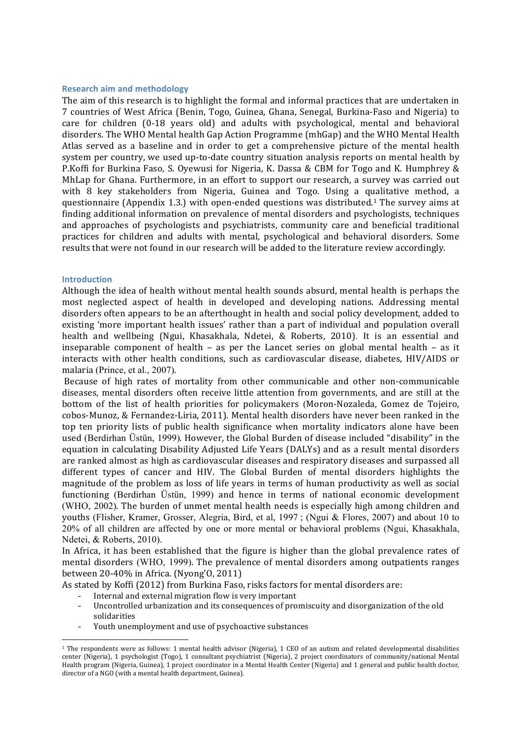### **Research aim and methodology**

The aim of this research is to highlight the formal and informal practices that are undertaken in 7 countries of West Africa (Benin, Togo, Guinea, Ghana, Senegal, Burkina-Faso and Nigeria) to care for children  $(0-18 \text{ years old})$  and adults with psychological, mental and behavioral disorders. The WHO Mental health Gap Action Programme (mhGap) and the WHO Mental Health Atlas served as a baseline and in order to get a comprehensive picture of the mental health system per country, we used up-to-date country situation analysis reports on mental health by P.Koffi for Burkina Faso, S. Oyewusi for Nigeria, K. Dassa & CBM for Togo and K. Humphrey & MhLap for Ghana. Furthermore, in an effort to support our research, a survey was carried out with 8 key stakeholders from Nigeria, Guinea and Togo. Using a qualitative method, a questionnaire (Appendix 1.3.) with open-ended questions was distributed.<sup>1</sup> The survey aims at finding additional information on prevalence of mental disorders and psychologists, techniques and approaches of psychologists and psychiatrists, community care and beneficial traditional practices for children and adults with mental, psychological and behavioral disorders. Some results that were not found in our research will be added to the literature review accordingly.

### **Introduction**

Although the idea of health without mental health sounds absurd, mental health is perhaps the most neglected aspect of health in developed and developing nations. Addressing mental disorders often appears to be an afterthought in health and social policy development, added to existing 'more important health issues' rather than a part of individual and population overall health and wellbeing (Ngui, Khasakhala, Ndetei, & Roberts, 2010). It is an essential and inseparable component of health – as per the Lancet series on global mental health – as it interacts with other health conditions, such as cardiovascular disease, diabetes, HIV/AIDS or malaria (Prince, et al., 2007).

Because of high rates of mortality from other communicable and other non-communicable diseases, mental disorders often receive little attention from governments, and are still at the bottom of the list of health priorities for policymakers (Moron-Nozaleda, Gomez de Tojeiro, cobos-Munoz, & Fernandez-Liria, 2011). Mental health disorders have never been ranked in the top ten priority lists of public health significance when mortality indicators alone have been used (Berdirhan Üstün, 1999). However, the Global Burden of disease included "disability" in the equation in calculating Disability Adjusted Life Years (DALYs) and as a result mental disorders are ranked almost as high as cardiovascular diseases and respiratory diseases and surpassed all different types of cancer and HIV. The Global Burden of mental disorders highlights the magnitude of the problem as loss of life years in terms of human productivity as well as social functioning (Berdirhan Üstün, 1999) and hence in terms of national economic development (WHO, 2002). The burden of unmet mental health needs is especially high among children and youths (Flisher, Kramer, Grosser, Alegria, Bird, et al, 1997 ; (Ngui & Flores, 2007) and about 10 to 20% of all children are affected by one or more mental or behavioral problems (Ngui, Khasakhala, Ndetei, & Roberts, 2010).

In Africa, it has been established that the figure is higher than the global prevalence rates of mental disorders (WHO, 1999). The prevalence of mental disorders among outpatients ranges between 20-40% in Africa. (Nyong'O, 2011)

As stated by Koffi (2012) from Burkina Faso, risks factors for mental disorders are:

Internal and external migration flow is very important

<u> Andreas Andreas Andreas Andreas Andreas Andreas Andreas Andreas Andreas Andreas Andreas Andreas Andreas Andreas</u>

- Uncontrolled urbanization and its consequences of promiscuity and disorganization of the old solidarities
- Youth unemployment and use of psychoactive substances

 $1$  The respondents were as follows: 1 mental health advisor (Nigeria), 1 CEO of an autism and related developmental disabilities center (Nigeria), 1 psychologist (Togo), 1 consultant psychiatrist (Nigeria), 2 project coordinators of community/national Mental Health program (Nigeria, Guinea), 1 project coordinator in a Mental Health Center (Nigeria) and 1 general and public health doctor, director of a NGO (with a mental health department, Guinea).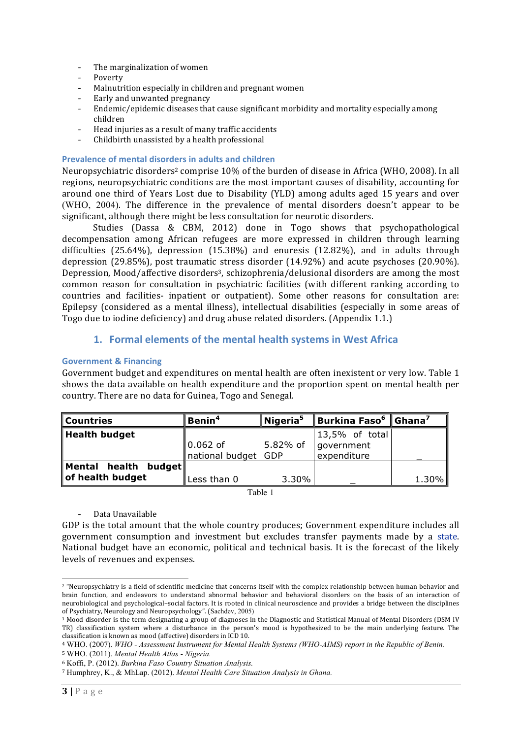- The marginalization of women
- Poverty
- Malnutrition especially in children and pregnant women
- Early and unwanted pregnancy
- Endemic/epidemic diseases that cause significant morbidity and mortality especially among children
- Head injuries as a result of many traffic accidents
- Childbirth unassisted by a health professional

## **Prevalence of mental disorders in adults and children**

Neuropsychiatric disorders<sup>2</sup> comprise 10% of the burden of disease in Africa (WHO, 2008). In all regions, neuropsychiatric conditions are the most important causes of disability, accounting for around one third of Years Lost due to Disability (YLD) among adults aged 15 years and over (WHO, 2004). The difference in the prevalence of mental disorders doesn't appear to be significant, although there might be less consultation for neurotic disorders.

Studies (Dassa & CBM, 2012) done in Togo shows that psychopathological decompensation among African refugees are more expressed in children through learning difficulties  $(25.64\%)$ , depression  $(15.38\%)$  and enuresis  $(12.82\%)$ , and in adults through depression  $(29.85\%)$ , post traumatic stress disorder  $(14.92\%)$  and acute psychoses  $(20.90\%)$ . Depression, Mood/affective disorders<sup>3</sup>, schizophrenia/delusional disorders are among the most common reason for consultation in psychiatric facilities (with different ranking according to countries and facilities- inpatient or outpatient). Some other reasons for consultation are: Epilepsy (considered as a mental illness), intellectual disabilities (especially in some areas of Togo due to iodine deficiency) and drug abuse related disorders. (Appendix 1.1.)

## 1. Formal elements of the mental health systems in West Africa

## **Government & Financing**

Government budget and expenditures on mental health are often inexistent or very low. Table 1 shows the data available on health expenditure and the proportion spent on mental health per country. There are no data for Guinea, Togo and Senegal.

| <b>Countries</b>                            | Benin <sup>4</sup>            | $\bm{\mathsf{N}}$ igeria $^5$ | $^{\dagger}$ Burkina Faso $^{\rm 6}$ $\parallel$    | $ $ Ghana $^{\rm 7}$ |
|---------------------------------------------|-------------------------------|-------------------------------|-----------------------------------------------------|----------------------|
| Health budget                               | $0.062$ of<br>national budget | 5.82% of<br>  GDP             | $\vert$ 13,5% of total<br>government<br>expenditure |                      |
| Mental health<br>budget<br>of health budget | Less than 0                   | 3.30%                         |                                                     | $1.30\%$             |

Table 1

## - Data Unavailable

 

GDP is the total amount that the whole country produces; Government expenditure includes all government consumption and investment but excludes transfer payments made by a state. National budget have an economic, political and technical basis. It is the forecast of the likely levels of revenues and expenses.

<sup>&</sup>lt;sup>2</sup> "Neuropsychiatry is a field of scientific medicine that concerns itself with the complex relationship between human behavior and brain function, and endeavors to understand abnormal behavior and behavioral disorders on the basis of an interaction of neurobiological and psychological-social factors. It is rooted in clinical neuroscience and provides a bridge between the disciplines of Psychiatry, Neurology and Neuropsychology". (Sachdev, 2005)

<sup>&</sup>lt;sup>3</sup> Mood disorder is the term designating a group of diagnoses in the Diagnostic and Statistical Manual of Mental Disorders (DSM IV TR) classification system where a disturbance in the person's mood is hypothesized to be the main underlying feature. The classification is known as mood (affective) disorders in ICD 10.

<sup>4</sup> WHO. (2007). *WHO - Assessment Instrument for Mental Health Systems (WHO-AIMS) report in the Republic of Benin.*

<sup>5</sup> WHO. (2011). *Mental Health Atlas - Nigeria.*

<sup>6</sup> Koffi, P. (2012). *Burkina Faso Country Situation Analysis.*

<sup>7</sup> Humphrey, K., & MhLap. (2012). *Mental Health Care Situation Analysis in Ghana.*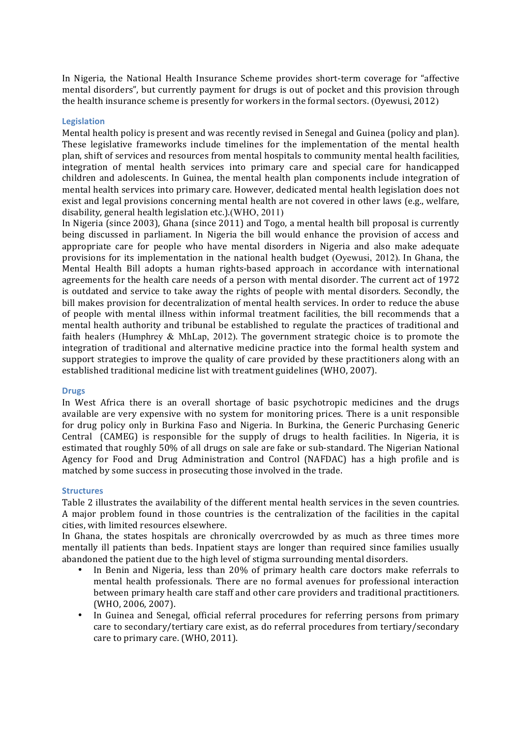In Nigeria, the National Health Insurance Scheme provides short-term coverage for "affective mental disorders", but currently payment for drugs is out of pocket and this provision through the health insurance scheme is presently for workers in the formal sectors. (Oyewusi, 2012)

## **Legislation**

Mental health policy is present and was recently revised in Senegal and Guinea (policy and plan). These legislative frameworks include timelines for the implementation of the mental health plan, shift of services and resources from mental hospitals to community mental health facilities, integration of mental health services into primary care and special care for handicapped children and adolescents. In Guinea, the mental health plan components include integration of mental health services into primary care. However, dedicated mental health legislation does not exist and legal provisions concerning mental health are not covered in other laws (e.g., welfare, disability, general health legislation etc.).(WHO,  $2011$ )

In Nigeria (since 2003), Ghana (since 2011) and Togo, a mental health bill proposal is currently being discussed in parliament. In Nigeria the bill would enhance the provision of access and appropriate care for people who have mental disorders in Nigeria and also make adequate provisions for its implementation in the national health budget (Oyewusi, 2012). In Ghana, the Mental Health Bill adopts a human rights-based approach in accordance with international agreements for the health care needs of a person with mental disorder. The current act of 1972 is outdated and service to take away the rights of people with mental disorders. Secondly, the bill makes provision for decentralization of mental health services. In order to reduce the abuse of people with mental illness within informal treatment facilities, the bill recommends that a mental health authority and tribunal be established to regulate the practices of traditional and faith healers (Humphrey & MhLap, 2012). The government strategic choice is to promote the integration of traditional and alternative medicine practice into the formal health system and support strategies to improve the quality of care provided by these practitioners along with an established traditional medicine list with treatment guidelines (WHO, 2007).

#### **Drugs**

In West Africa there is an overall shortage of basic psychotropic medicines and the drugs available are very expensive with no system for monitoring prices. There is a unit responsible for drug policy only in Burkina Faso and Nigeria. In Burkina, the Generic Purchasing Generic Central (CAMEG) is responsible for the supply of drugs to health facilities. In Nigeria, it is estimated that roughly 50% of all drugs on sale are fake or sub-standard. The Nigerian National Agency for Food and Drug Administration and Control (NAFDAC) has a high profile and is matched by some success in prosecuting those involved in the trade.

### **Structures**

Table 2 illustrates the availability of the different mental health services in the seven countries. A major problem found in those countries is the centralization of the facilities in the capital cities, with limited resources elsewhere.

In Ghana, the states hospitals are chronically overcrowded by as much as three times more mentally ill patients than beds. Inpatient stays are longer than required since families usually abandoned the patient due to the high level of stigma surrounding mental disorders.

- In Benin and Nigeria, less than 20% of primary health care doctors make referrals to mental health professionals. There are no formal avenues for professional interaction between primary health care staff and other care providers and traditional practitioners. (WHO, 2006, 2007).
- In Guinea and Senegal, official referral procedures for referring persons from primary care to secondary/tertiary care exist, as do referral procedures from tertiary/secondary care to primary care. (WHO, 2011).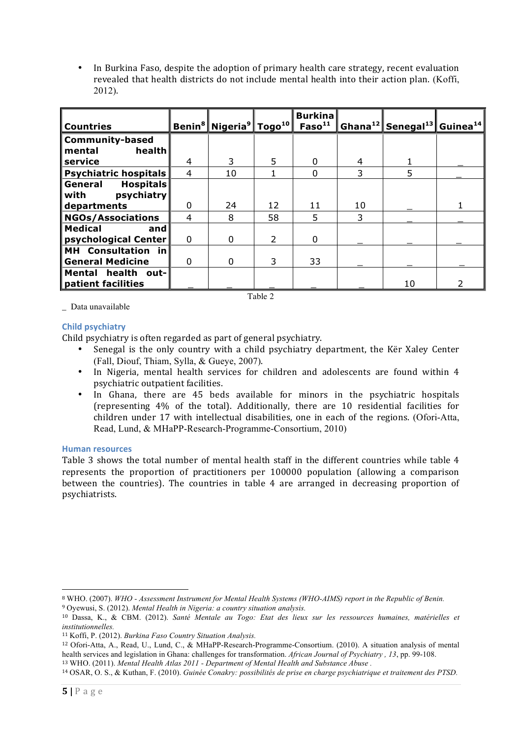In Burkina Faso, despite the adoption of primary health care strategy, recent evaluation revealed that health districts do not include mental health into their action plan. (Koffi, 2012).

| l Countries                                                 |   | Benin <sup>8</sup> Nigeria <sup>9</sup> Togo <sup>10</sup> |               | <b>Burkina</b><br>Faso <sup>11</sup> |    | Ghana <sup>12</sup> Senegal <sup>13</sup> Guinea <sup>14</sup> |  |
|-------------------------------------------------------------|---|------------------------------------------------------------|---------------|--------------------------------------|----|----------------------------------------------------------------|--|
| Community-based<br>health<br>l mental                       |   |                                                            |               |                                      |    |                                                                |  |
| l service                                                   | 4 | 3                                                          | 5             | 0                                    | 4  |                                                                |  |
| <b>Psychiatric hospitals</b>                                | 4 | 10                                                         |               | $\Omega$                             | 3  | 5                                                              |  |
| <b>Hospitals</b><br>  General<br>psychiatry<br>$\sf I$ with |   |                                                            |               |                                      |    |                                                                |  |
| departments                                                 | 0 | 24                                                         | 12            | 11                                   | 10 |                                                                |  |
| <b>NGOs/Associations</b>                                    | 4 | 8                                                          | 58            | 5                                    | 3  |                                                                |  |
| l Medical<br>and<br>psychological Center                    | 0 | O                                                          | $\mathcal{P}$ | $\Omega$                             |    |                                                                |  |
| MH Consultation<br>in<br>  General Medicine                 | 0 | 0                                                          | 3             | 33                                   |    |                                                                |  |
| Mental health<br>out-<br>patient facilities                 |   |                                                            |               |                                      |    | 10                                                             |  |

\_ Data unavailable

## **Child psychiatry**

Child psychiatry is often regarded as part of general psychiatry.

Senegal is the only country with a child psychiatry department, the Ker Xaley Center (Fall, Diouf, Thiam, Sylla, & Gueye, 2007). 

Table 2

- In Nigeria, mental health services for children and adolescents are found within 4 psychiatric outpatient facilities.
- In Ghana, there are 45 beds available for minors in the psychiatric hospitals (representing  $4\%$  of the total). Additionally, there are 10 residential facilities for children under 17 with intellectual disabilities, one in each of the regions. (Ofori-Atta, Read, Lund, & MHaPP-Research-Programme-Consortium, 2010)

## **Human resources**

Table 3 shows the total number of mental health staff in the different countries while table 4 represents the proportion of practitioners per 100000 population (allowing a comparison between the countries). The countries in table 4 are arranged in decreasing proportion of psychiatrists.

 

<sup>8</sup> WHO. (2007). *WHO - Assessment Instrument for Mental Health Systems (WHO-AIMS) report in the Republic of Benin.*

<sup>9</sup> Oyewusi, S. (2012). *Mental Health in Nigeria: a country situation analysis.*

<sup>10</sup> Dassa, K., & CBM. (2012). *Santé Mentale au Togo: Etat des lieux sur les ressources humaines, matérielles et institutionnelles.*

<sup>11</sup> Koffi, P. (2012). *Burkina Faso Country Situation Analysis.*

<sup>12</sup> Ofori-Atta, A., Read, U., Lund, C., & MHaPP-Research-Programme-Consortium. (2010). A situation analysis of mental health services and legislation in Ghana: challenges for transformation. *African Journal of Psychiatry , 13*, pp. 99-108. <sup>13</sup> WHO. (2011). *Mental Health Atlas 2011 - Department of Mental Health and Substance Abuse .*

<sup>14</sup> OSAR, O. S., & Kuthan, F. (2010). *Guinée Conakry: possibilités de prise en charge psychiatrique et traitement des PTSD.*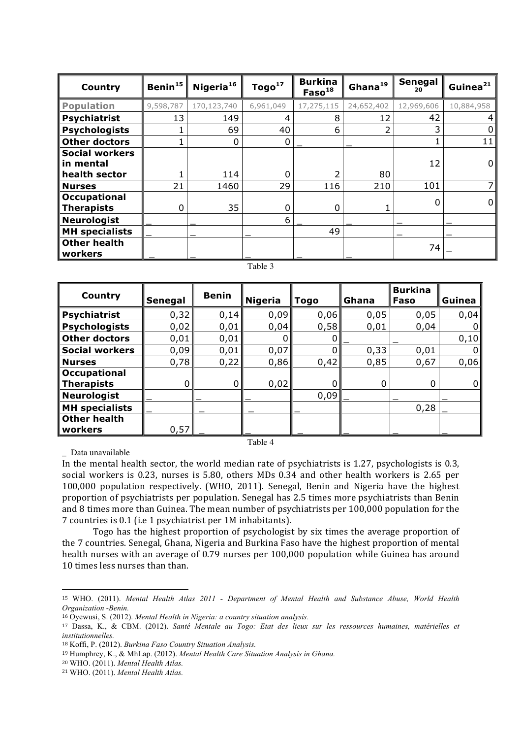| Country                                     | Benin <sup>15</sup> | Nigeria <sup>16</sup> | Togo <sup>17</sup> | <b>Burkina</b><br>$\textsf{Faso}^{18}$ | Ghana <sup>19</sup> | Senegal<br>20 | Guinea <sup>21</sup> |
|---------------------------------------------|---------------------|-----------------------|--------------------|----------------------------------------|---------------------|---------------|----------------------|
| <b>Population</b>                           | 9,598,787           | 170,123,740           | 6,961,049          | 17,275,115                             | 24,652,402          | 12,969,606    | 10,884,958           |
| Psychiatrist                                | 13                  | 149                   | 4                  | 8                                      | 12                  | 42            | 4                    |
| <b>Psychologists</b>                        |                     | 69                    | 40                 | 6                                      | 2                   |               | 0                    |
| Other doctors                               |                     | 0                     | 0                  |                                        |                     |               | 11                   |
| <b>Social workers</b><br>l in mental        |                     |                       |                    |                                        |                     | 12            | $\overline{0}$       |
| health sector                               | 21                  | 114<br>1460           | 0<br>29            | 116                                    | 80<br>210           | 101           | 7 <sup>1</sup>       |
| Nurses<br><b>Occupational</b><br>Therapists | 0                   | 35                    | 0                  | 0                                      | 1                   | 0             | $\overline{0}$       |
| Neurologist                                 |                     |                       | 6                  |                                        |                     |               |                      |
| MH specialists                              |                     |                       |                    | 49                                     |                     |               |                      |
| Other health<br>  workers                   |                     |                       |                    |                                        |                     | 74            |                      |

### Table 3

| Country                                  | Senegal | <b>Benin</b> | <b>Nigeria</b> | Togo | Ghana | <b>Burkina</b><br>Faso | Guinea |
|------------------------------------------|---------|--------------|----------------|------|-------|------------------------|--------|
| <b>Psychiatrist</b>                      | 0,32    | 0,14         | 0,09           | 0,06 | 0,05  | 0,05                   | 0,04   |
| <b>Psychologists</b>                     | 0,02    | 0,01         | 0,04           | 0,58 | 0,01  | 0,04                   |        |
| <b>Other doctors</b>                     | 0,01    | 0,01         |                |      |       |                        | 0,10   |
| <b>Social workers</b>                    | 0,09    | 0,01         | 0,07           | 0    | 0,33  | 0,01                   |        |
| <b>Nurses</b>                            | 0,78    | 0,22         | 0,86           | 0,42 | 0,85  | 0,67                   | 0,06   |
| <b>Occupational</b><br><b>Therapists</b> | 0       | 0            | 0,02           | 0    |       | 0                      | 0      |
| <b>Neurologist</b>                       |         |              |                | 0,09 |       |                        |        |
| <b>MH</b> specialists                    |         |              |                |      |       | 0,28                   |        |
| <b>Other health</b>                      |         |              |                |      |       |                        |        |
| workers                                  | 0,57    |              |                |      |       |                        |        |

Table 4

\_ Data unavailable

In the mental health sector, the world median rate of psychiatrists is 1.27, psychologists is 0.3, social workers is 0.23, nurses is 5.80, others MDs 0.34 and other health workers is 2.65 per 100,000 population respectively. (WHO, 2011). Senegal, Benin and Nigeria have the highest proportion of psychiatrists per population. Senegal has 2.5 times more psychiatrists than Benin and 8 times more than Guinea. The mean number of psychiatrists per 100,000 population for the 7 countries is 0.1 (i.e 1 psychiatrist per 1M inhabitants).

Togo has the highest proportion of psychologist by six times the average proportion of the 7 countries. Senegal, Ghana, Nigeria and Burkina Faso have the highest proportion of mental health nurses with an average of 0.79 nurses per 100,000 population while Guinea has around 10 times less nurses than than.

 

<sup>15</sup> WHO. (2011). *Mental Health Atlas 2011 - Department of Mental Health and Substance Abuse, World Health Organization -Benin.*

<sup>16</sup> Oyewusi, S. (2012). *Mental Health in Nigeria: a country situation analysis.*

<sup>17</sup> Dassa, K., & CBM. (2012). *Santé Mentale au Togo: Etat des lieux sur les ressources humaines, matérielles et institutionnelles.*

<sup>18</sup> Koffi, P. (2012). *Burkina Faso Country Situation Analysis.*

<sup>19</sup> Humphrey, K., & MhLap. (2012). *Mental Health Care Situation Analysis in Ghana.*

<sup>20</sup> WHO. (2011). *Mental Health Atlas.*

<sup>21</sup> WHO. (2011). *Mental Health Atlas.*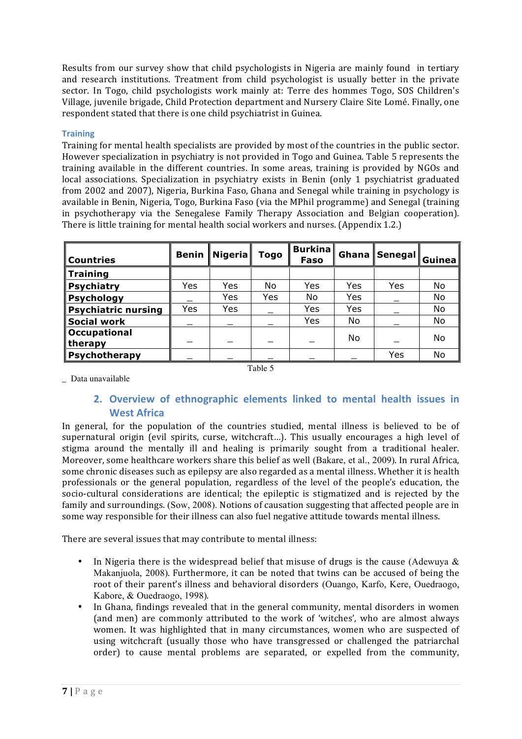Results from our survey show that child psychologists in Nigeria are mainly found in tertiary and research institutions. Treatment from child psychologist is usually better in the private sector. In Togo, child psychologists work mainly at: Terre des hommes Togo, SOS Children's Village, juvenile brigade, Child Protection department and Nursery Claire Site Lomé. Finally, one respondent stated that there is one child psychiatrist in Guinea.

## **Training**

Training for mental health specialists are provided by most of the countries in the public sector. However specialization in psychiatry is not provided in Togo and Guinea. Table 5 represents the training available in the different countries. In some areas, training is provided by NGOs and local associations. Specialization in psychiatry exists in Benin (only 1 psychiatrist graduated from 2002 and 2007), Nigeria, Burkina Faso, Ghana and Senegal while training in psychology is available in Benin, Nigeria, Togo, Burkina Faso (via the MPhil programme) and Senegal (training in psychotherapy via the Senegalese Family Therapy Association and Belgian cooperation). There is little training for mental health social workers and nurses. (Appendix 1.2.)

| <b>Countries</b>           | <b>Benin</b> | <b>Nigeria</b> | Togo | <b>Burkina</b><br>Faso | Ghana | Senegal | Guinea |
|----------------------------|--------------|----------------|------|------------------------|-------|---------|--------|
| Training                   |              |                |      |                        |       |         |        |
| <b>Psychiatry</b>          | Yes          | Yes            | No   | Yes                    | Yes   | Yes     | No     |
| <b>Psychology</b>          |              | Yes            | Yes  | No                     | Yes   |         | No     |
| <b>Psychiatric nursing</b> | Yes          | Yes            |      | Yes                    | Yes   |         | No     |
| <b>Social work</b>         |              |                |      | Yes                    | No    |         | No     |
| Occupational<br>therapy    |              |                |      |                        | No    |         | No     |
| Psychotherapy              |              |                |      |                        |       | Yes     | No     |

Table 5

\_ Data unavailable

# **2. Overview** of ethnographic elements linked to mental health issues in **West Africa**

In general, for the population of the countries studied, mental illness is believed to be of supernatural origin (evil spirits, curse, witchcraft...). This usually encourages a high level of stigma around the mentally ill and healing is primarily sought from a traditional healer. Moreover, some healthcare workers share this belief as well (Bakare, et al., 2009). In rural Africa, some chronic diseases such as epilepsy are also regarded as a mental illness. Whether it is health professionals or the general population, regardless of the level of the people's education, the socio-cultural considerations are identical; the epileptic is stigmatized and is rejected by the family and surroundings. (Sow, 2008). Notions of causation suggesting that affected people are in some way responsible for their illness can also fuel negative attitude towards mental illness.

There are several issues that may contribute to mental illness:

- In Nigeria there is the widespread belief that misuse of drugs is the cause (Adewuya  $\&$ Makanjuola, 2008). Furthermore, it can be noted that twins can be accused of being the root of their parent's illness and behavioral disorders (Ouango, Karfo, Kere, Ouedraogo, Kabore, & Ouedraogo, 1998).
- In Ghana, findings revealed that in the general community, mental disorders in women (and men) are commonly attributed to the work of 'witches', who are almost always women. It was highlighted that in many circumstances, women who are suspected of using witchcraft (usually those who have transgressed or challenged the patriarchal order) to cause mental problems are separated, or expelled from the community,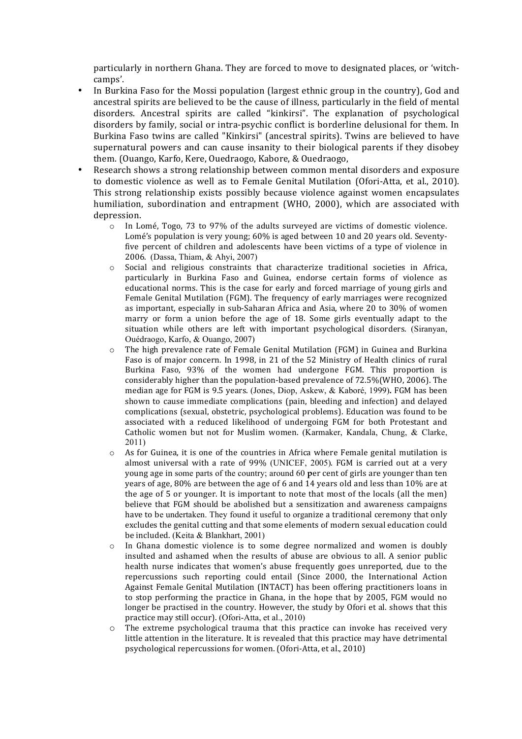particularly in northern Ghana. They are forced to move to designated places, or 'witchcamps'.

- In Burkina Faso for the Mossi population (largest ethnic group in the country), God and ancestral spirits are believed to be the cause of illness, particularly in the field of mental disorders. Ancestral spirits are called "kinkirsi". The explanation of psychological disorders by family, social or intra-psychic conflict is borderline delusional for them. In Burkina Faso twins are called "Kinkirsi" (ancestral spirits). Twins are believed to have supernatural powers and can cause insanity to their biological parents if they disobey them. (Ouango, Karfo, Kere, Ouedraogo, Kabore, & Ouedraogo,
- Research shows a strong relationship between common mental disorders and exposure to domestic violence as well as to Female Genital Mutilation (Ofori-Atta, et al., 2010). This strong relationship exists possibly because violence against women encapsulates humiliation, subordination and entrapment (WHO, 2000), which are associated with depression.
	- $\circ$  In Lomé, Togo, 73 to 97% of the adults surveyed are victims of domestic violence. Lomé's population is very young:  $60\%$  is aged between 10 and 20 years old. Seventyfive percent of children and adolescents have been victims of a type of violence in 2006. (Dassa, Thiam, & Ahyi, 2007)
	- $\circ$  Social and religious constraints that characterize traditional societies in Africa, particularly in Burkina Faso and Guinea, endorse certain forms of violence as educational norms. This is the case for early and forced marriage of young girls and Female Genital Mutilation (FGM). The frequency of early marriages were recognized as important, especially in sub-Saharan Africa and Asia, where  $20$  to  $30\%$  of women marry or form a union before the age of  $18$ . Some girls eventually adapt to the situation while others are left with important psychological disorders. (Siranyan, Ouédraogo, Karfo, & Ouango, 2007)
	- $\circ$  The high prevalence rate of Female Genital Mutilation (FGM) in Guinea and Burkina Faso is of major concern. In 1998, in 21 of the 52 Ministry of Health clinics of rural Burkina Faso, 93% of the women had undergone FGM. This proportion is considerably higher than the population-based prevalence of  $72.5\%$  (WHO, 2006). The median age for FGM is 9.5 years. (Jones, Diop, Askew, & Kaboré, 1999)**.** FGM has been shown to cause immediate complications (pain, bleeding and infection) and delayed complications (sexual, obstetric, psychological problems). Education was found to be associated with a reduced likelihood of undergoing FGM for both Protestant and Catholic women but not for Muslim women. (Karmaker, Kandala, Chung, & Clarke, 2011)
	- $\circ$  As for Guinea, it is one of the countries in Africa where Female genital mutilation is almost universal with a rate of  $99\%$  (UNICEF, 2005). FGM is carried out at a very young age in some parts of the country; around 60 per cent of girls are younger than ten years of age, 80% are between the age of 6 and 14 years old and less than 10% are at the age of 5 or younger. It is important to note that most of the locals (all the men) believe that FGM should be abolished but a sensitization and awareness campaigns have to be undertaken. They found it useful to organize a traditional ceremony that only excludes the genital cutting and that some elements of modern sexual education could be included. (Keita  $&$  Blankhart, 2001)
	- $\circ$  In Ghana domestic violence is to some degree normalized and women is doubly insulted and ashamed when the results of abuse are obvious to all. A senior public health nurse indicates that women's abuse frequently goes unreported, due to the repercussions such reporting could entail (Since 2000, the International Action Against Female Genital Mutilation (INTACT) has been offering practitioners loans in to stop performing the practice in Ghana, in the hope that by 2005, FGM would no longer be practised in the country. However, the study by Ofori et al. shows that this practice may still occur). (Ofori-Atta, et al., 2010)
	- $\circ$  The extreme psychological trauma that this practice can invoke has received very little attention in the literature. It is revealed that this practice may have detrimental psychological repercussions for women. (Ofori-Atta, et al., 2010)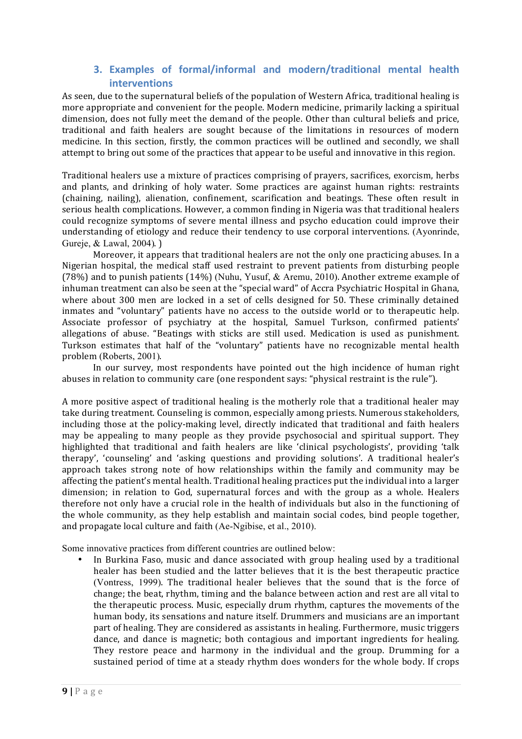# **3.** Examples of formal/informal and modern/traditional mental health **interventions**

As seen, due to the supernatural beliefs of the population of Western Africa, traditional healing is more appropriate and convenient for the people. Modern medicine, primarily lacking a spiritual dimension, does not fully meet the demand of the people. Other than cultural beliefs and price, traditional and faith healers are sought because of the limitations in resources of modern medicine. In this section, firstly, the common practices will be outlined and secondly, we shall attempt to bring out some of the practices that appear to be useful and innovative in this region.

Traditional healers use a mixture of practices comprising of prayers, sacrifices, exorcism, herbs and plants, and drinking of holy water. Some practices are against human rights: restraints (chaining, nailing), alienation, confinement, scarification and beatings. These often result in serious health complications. However, a common finding in Nigeria was that traditional healers could recognize symptoms of severe mental illness and psycho education could improve their understanding of etiology and reduce their tendency to use corporal interventions. (Ayonrinde, Gureje, & Lawal, 2004).

Moreover, it appears that traditional healers are not the only one practicing abuses. In a Nigerian hospital, the medical staff used restraint to prevent patients from disturbing people (78%) and to punish patients (14%) (Nuhu, Yusuf, & Aremu, 2010). Another extreme example of inhuman treatment can also be seen at the "special ward" of Accra Psychiatric Hospital in Ghana, where about 300 men are locked in a set of cells designed for 50. These criminally detained inmates and "voluntary" patients have no access to the outside world or to therapeutic help. Associate professor of psychiatry at the hospital, Samuel Turkson, confirmed patients' allegations of abuse. "Beatings with sticks are still used. Medication is used as punishment. Turkson estimates that half of the "voluntary" patients have no recognizable mental health problem (Roberts, 2001).

In our survey, most respondents have pointed out the high incidence of human right abuses in relation to community care (one respondent says: "physical restraint is the rule").

A more positive aspect of traditional healing is the motherly role that a traditional healer may take during treatment. Counseling is common, especially among priests. Numerous stakeholders, including those at the policy-making level, directly indicated that traditional and faith healers may be appealing to many people as they provide psychosocial and spiritual support. They highlighted that traditional and faith healers are like 'clinical psychologists', providing 'talk therapy', 'counseling' and 'asking questions and providing solutions'. A traditional healer's approach takes strong note of how relationships within the family and community may be affecting the patient's mental health. Traditional healing practices put the individual into a larger dimension; in relation to God, supernatural forces and with the group as a whole. Healers therefore not only have a crucial role in the health of individuals but also in the functioning of the whole community, as they help establish and maintain social codes, bind people together, and propagate local culture and faith (Ae-Ngibise, et al., 2010).

Some innovative practices from different countries are outlined below:

In Burkina Faso, music and dance associated with group healing used by a traditional healer has been studied and the latter believes that it is the best therapeutic practice (Vontress, 1999). The traditional healer believes that the sound that is the force of change; the beat, rhythm, timing and the balance between action and rest are all vital to the therapeutic process. Music, especially drum rhythm, captures the movements of the human body, its sensations and nature itself. Drummers and musicians are an important part of healing. They are considered as assistants in healing. Furthermore, music triggers dance, and dance is magnetic; both contagious and important ingredients for healing. They restore peace and harmony in the individual and the group. Drumming for a sustained period of time at a steady rhythm does wonders for the whole body. If crops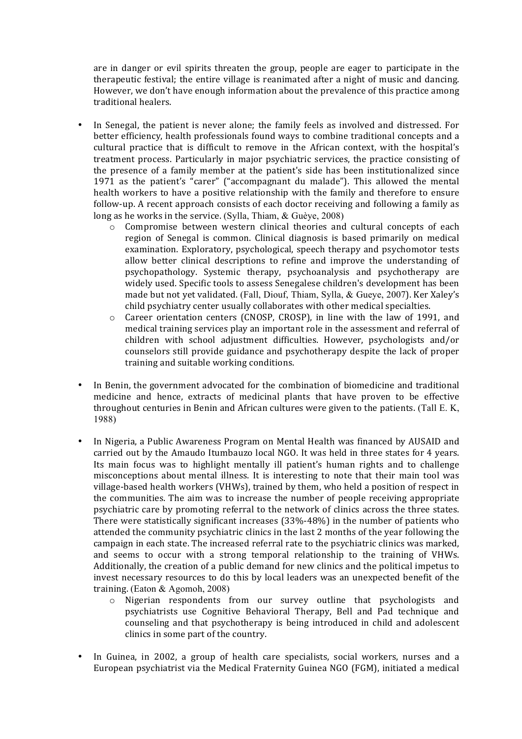are in danger or evil spirits threaten the group, people are eager to participate in the therapeutic festival; the entire village is reanimated after a night of music and dancing. However, we don't have enough information about the prevalence of this practice among traditional healers.

- In Senegal, the patient is never alone; the family feels as involved and distressed. For better efficiency, health professionals found ways to combine traditional concepts and a cultural practice that is difficult to remove in the African context, with the hospital's treatment process. Particularly in major psychiatric services, the practice consisting of the presence of a family member at the patient's side has been institutionalized since 1971 as the patient's "carer" ("accompagnant du malade"). This allowed the mental health workers to have a positive relationship with the family and therefore to ensure follow-up. A recent approach consists of each doctor receiving and following a family as long as he works in the service. (Sylla, Thiam,  $\&$  Guèye, 2008)
	- $\circ$  Compromise between western clinical theories and cultural concepts of each region of Senegal is common. Clinical diagnosis is based primarily on medical examination. Exploratory, psychological, speech therapy and psychomotor tests allow better clinical descriptions to refine and improve the understanding of psychopathology. Systemic therapy, psychoanalysis and psychotherapy are widely used. Specific tools to assess Senegalese children's development has been made but not vet validated. (Fall, Diouf, Thiam, Sylla, & Gueye, 2007). Ker Xaley's child psychiatry center usually collaborates with other medical specialties.
	- $\circ$  Career orientation centers (CNOSP, CROSP), in line with the law of 1991, and medical training services play an important role in the assessment and referral of children with school adjustment difficulties. However, psychologists and/or counselors still provide guidance and psychotherapy despite the lack of proper training and suitable working conditions.
- In Benin, the government advocated for the combination of biomedicine and traditional medicine and hence, extracts of medicinal plants that have proven to be effective throughout centuries in Benin and African cultures were given to the patients. (Tall E. K, 1988)
- In Nigeria, a Public Awareness Program on Mental Health was financed by AUSAID and carried out by the Amaudo Itumbauzo local NGO. It was held in three states for 4 years. Its main focus was to highlight mentally ill patient's human rights and to challenge misconceptions about mental illness. It is interesting to note that their main tool was village-based health workers (VHWs), trained by them, who held a position of respect in the communities. The aim was to increase the number of people receiving appropriate psychiatric care by promoting referral to the network of clinics across the three states. There were statistically significant increases  $(33\% - 48\%)$  in the number of patients who attended the community psychiatric clinics in the last 2 months of the year following the campaign in each state. The increased referral rate to the psychiatric clinics was marked, and seems to occur with a strong temporal relationship to the training of VHWs. Additionally, the creation of a public demand for new clinics and the political impetus to invest necessary resources to do this by local leaders was an unexpected benefit of the training. (Eaton & Agomoh, 2008)
	- o Nigerian respondents from our survey outline that psychologists and psychiatrists use Cognitive Behavioral Therapy, Bell and Pad technique and counseling and that psychotherapy is being introduced in child and adolescent clinics in some part of the country.
- In Guinea, in 2002, a group of health care specialists, social workers, nurses and a European psychiatrist via the Medical Fraternity Guinea NGO (FGM), initiated a medical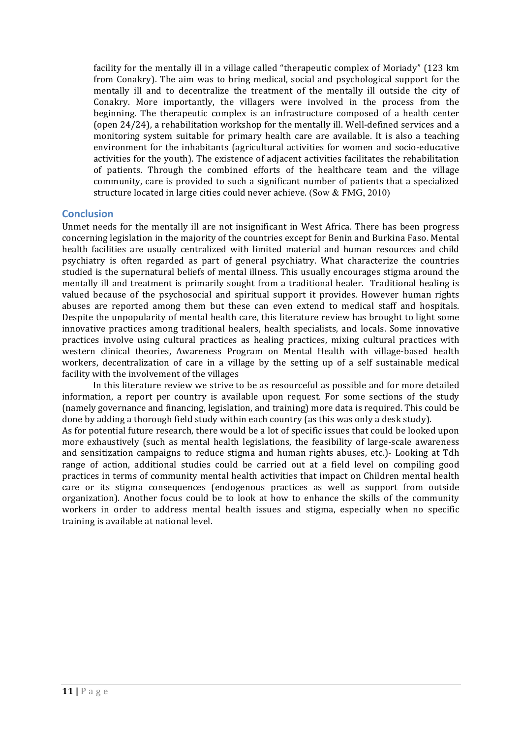facility for the mentally ill in a village called "therapeutic complex of Moriady" (123 km from Conakry). The aim was to bring medical, social and psychological support for the mentally ill and to decentralize the treatment of the mentally ill outside the city of Conakry. More importantly, the villagers were involved in the process from the beginning. The therapeutic complex is an infrastructure composed of a health center (open 24/24), a rehabilitation workshop for the mentally ill. Well-defined services and a monitoring system suitable for primary health care are available. It is also a teaching environment for the inhabitants (agricultural activities for women and socio-educative activities for the youth). The existence of adjacent activities facilitates the rehabilitation of patients. Through the combined efforts of the healthcare team and the village community, care is provided to such a significant number of patients that a specialized structure located in large cities could never achieve. (Sow  $& \text{FMG}, 2010$ )

## **Conclusion**

Unmet needs for the mentally ill are not insignificant in West Africa. There has been progress concerning legislation in the majority of the countries except for Benin and Burkina Faso. Mental health facilities are usually centralized with limited material and human resources and child psychiatry is often regarded as part of general psychiatry. What characterize the countries studied is the supernatural beliefs of mental illness. This usually encourages stigma around the mentally ill and treatment is primarily sought from a traditional healer. Traditional healing is valued because of the psychosocial and spiritual support it provides. However human rights abuses are reported among them but these can even extend to medical staff and hospitals. Despite the unpopularity of mental health care, this literature review has brought to light some innovative practices among traditional healers, health specialists, and locals. Some innovative practices involve using cultural practices as healing practices, mixing cultural practices with western clinical theories, Awareness Program on Mental Health with village-based health workers, decentralization of care in a village by the setting up of a self sustainable medical facility with the involvement of the villages

In this literature review we strive to be as resourceful as possible and for more detailed information, a report per country is available upon request. For some sections of the study (namely governance and financing, legislation, and training) more data is required. This could be done by adding a thorough field study within each country (as this was only a desk study).

As for potential future research, there would be a lot of specific issues that could be looked upon more exhaustively (such as mental health legislations, the feasibility of large-scale awareness and sensitization campaigns to reduce stigma and human rights abuses, etc.)- Looking at Tdh range of action, additional studies could be carried out at a field level on compiling good practices in terms of community mental health activities that impact on Children mental health care or its stigma consequences (endogenous practices as well as support from outside organization). Another focus could be to look at how to enhance the skills of the community workers in order to address mental health issues and stigma, especially when no specific training is available at national level.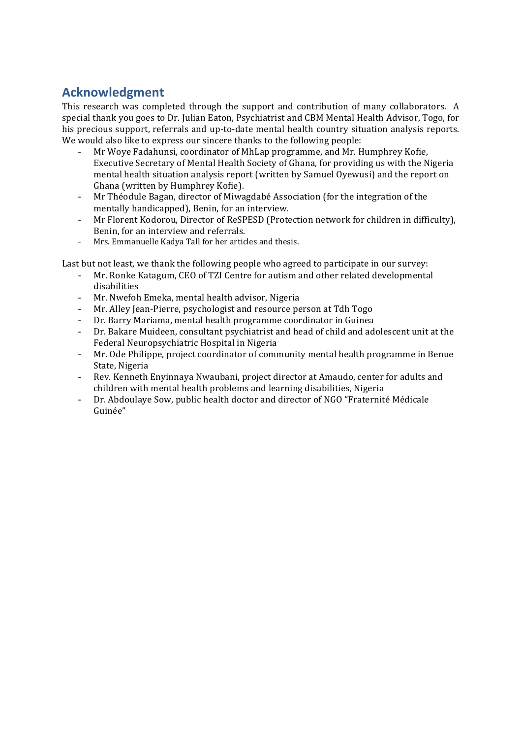# **Acknowledgment**

This research was completed through the support and contribution of many collaborators. A special thank you goes to Dr. Julian Eaton, Psychiatrist and CBM Mental Health Advisor, Togo, for his precious support, referrals and up-to-date mental health country situation analysis reports. We would also like to express our sincere thanks to the following people:

- Mr Woye Fadahunsi, coordinator of MhLap programme, and Mr. Humphrey Kofie, Executive Secretary of Mental Health Society of Ghana, for providing us with the Nigeria mental health situation analysis report (written by Samuel Oyewusi) and the report on Ghana (written by Humphrey Kofie).
- Mr Théodule Bagan, director of Miwagdabé Association (for the integration of the mentally handicapped), Benin, for an interview.
- Mr Florent Kodorou, Director of ReSPESD (Protection network for children in difficulty), Benin, for an interview and referrals.
- Mrs. Emmanuelle Kadya Tall for her articles and thesis.

Last but not least, we thank the following people who agreed to participate in our survey:

- Mr. Ronke Katagum, CEO of TZI Centre for autism and other related developmental disabilities
- Mr. Nwefoh Emeka, mental health advisor, Nigeria
- Mr. Alley Jean-Pierre, psychologist and resource person at Tdh Togo
- Dr. Barry Mariama, mental health programme coordinator in Guinea
- Dr. Bakare Muideen, consultant psychiatrist and head of child and adolescent unit at the Federal Neuropsychiatric Hospital in Nigeria
- Mr. Ode Philippe, project coordinator of community mental health programme in Benue State, Nigeria
- Rev. Kenneth Enyinnaya Nwaubani, project director at Amaudo, center for adults and children with mental health problems and learning disabilities, Nigeria
- Dr. Abdoulaye Sow, public health doctor and director of NGO "Fraternité Médicale" Guinée"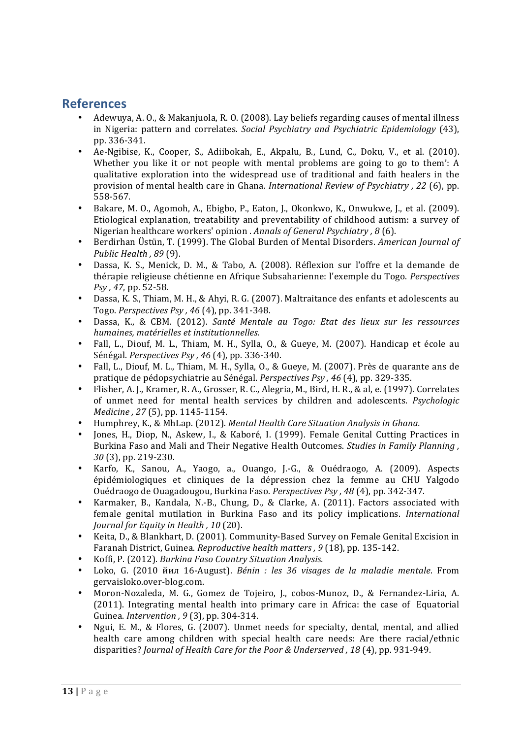# **References**

- Adewuya, A. O., & Makanjuola, R. O. (2008). Lay beliefs regarding causes of mental illness in Nigeria: pattern and correlates. *Social Psychiatry and Psychiatric Epidemiology* (43), pp. 336-341.
- Ae-Ngibise, K., Cooper, S., Adiibokah, E., Akpalu, B., Lund, C., Doku, V., et al. (2010). Whether you like it or not people with mental problems are going to go to them':  $A$ qualitative exploration into the widespread use of traditional and faith healers in the provision of mental health care in Ghana. *International Review of Psychiatry* , 22 (6), pp. 558-567.
- Bakare, M. O., Agomoh, A., Ebigbo, P., Eaton, J., Okonkwo, K., Onwukwe, J., et al. (2009). Etiological explanation, treatability and preventability of childhood autism: a survey of Nigerian healthcare workers' opinion *. Annals of General Psychiatry* , 8 (6).
- Berdirhan Üstün, T. (1999). The Global Burden of Mental Disorders. *American Journal of Public Health* , 89 (9).
- Dassa, K. S., Menick, D. M., & Tabo, A. (2008). Réflexion sur l'offre et la demande de thérapie religieuse chétienne en Afrique Subsaharienne: l'exemple du Togo. *Perspectives Psy , 47*, pp. 52-58.
- Dassa, K. S., Thiam, M. H., & Ahyi, R. G. (2007). Maltraitance des enfants et adolescents au Togo. *Perspectives Psy , 46* (4), pp. 341-348.
- Dassa, K., & CBM. (2012). *Santé Mentale au Togo: Etat des lieux sur les ressources humaines, matérielles et institutionnelles.*
- Fall, L., Diouf, M. L., Thiam, M. H., Sylla, O., & Gueye, M. (2007). Handicap et école au Sénégal. *Perspectives Psy*, 46 (4), pp. 336-340.
- Fall, L., Diouf, M. L., Thiam, M. H., Sylla, O., & Gueye, M. (2007). Près de quarante ans de pratique de pédopsychiatrie au Sénégal. *Perspectives Psy, 46* (4), pp. 329-335.
- Flisher, A. J., Kramer, R. A., Grosser, R. C., Alegria, M., Bird, H. R., & al, e. (1997). Correlates of unmet need for mental health services by children and adolescents. *Psychologic Medicine*, 27(5), pp. 1145-1154.
- Humphrey, K., & MhLap. (2012). *Mental Health Care Situation Analysis in Ghana.*
- Jones, H., Diop, N., Askew, I., & Kaboré, I. (1999). Female Genital Cutting Practices in Burkina Faso and Mali and Their Negative Health Outcomes. *Studies in Family Planning* , 30 (3), pp. 219-230.
- Karfo, K., Sanou, A., Yaogo, a., Ouango, J.-G., & Ouédraogo, A. (2009). Aspects épidémiologiques et cliniques de la dépression chez la femme au CHU Yalgodo Ouédraogo de Ouagadougou, Burkina Faso. *Perspectives Psy , 48* (4), pp. 342-347.
- Karmaker, B., Kandala, N.-B., Chung, D., & Clarke, A. (2011). Factors associated with female genital mutilation in Burkina Faso and its policy implications. *International Journal for Equity in Health, 10* (20).
- Keita, D., & Blankhart, D. (2001). Community-Based Survey on Female Genital Excision in Faranah District, Guinea. *Reproductive health matters* , 9 (18), pp. 135-142.
- Koffi, P. (2012). *Burkina Faso Country Situation Analysis.*
- Loko, G. (2010 йил 16-August). *Bénin : les 36 visages de la maladie mentale*. From gervaisloko.over-blog.com.
- Moron-Nozaleda, M. G., Gomez de Tojeiro, J., cobos-Munoz, D., & Fernandez-Liria, A. (2011). Integrating mental health into primary care in Africa: the case of Equatorial Guinea. *Intervention*, 9(3), pp. 304-314.
- Ngui, E. M., & Flores, G. (2007). Unmet needs for specialty, dental, mental, and allied health care among children with special health care needs: Are there racial/ethnic disparities? *Journal of Health Care for the Poor & Underserved , 18* (4), pp. 931-949.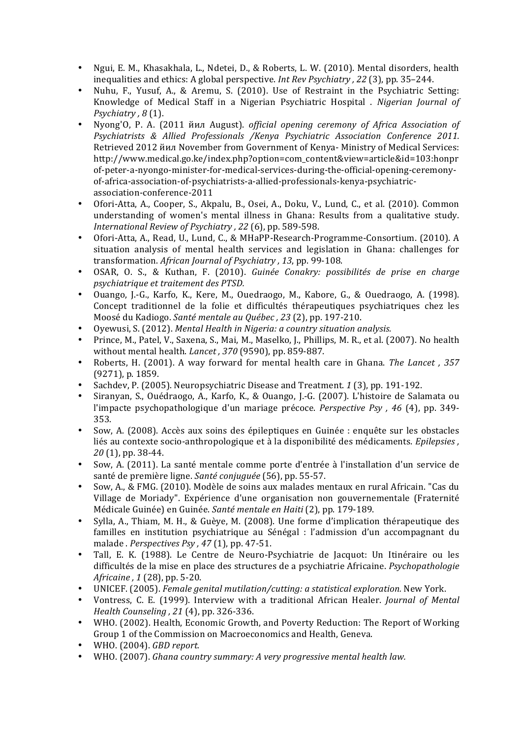- Ngui, E. M., Khasakhala, L., Ndetei, D., & Roberts, L. W. (2010). Mental disorders, health inequalities and ethics: A global perspective. *Int Rev Psychiatry* , 22 (3), pp. 35–244.
- Nuhu, F., Yusuf, A., & Aremu, S. (2010). Use of Restraint in the Psychiatric Setting: Knowledge of Medical Staff in a Nigerian Psychiatric Hospital . *Nigerian Journal of Psychiatry*, 8(1).
- Nyong'O, P. A. (2011 йил August). *official opening ceremony of Africa Association of Psychiatrists & Allied Professionals /Kenya Psychiatric Association Conference 2011.* Retrieved 2012 йил November from Government of Kenya- Ministry of Medical Services: http://www.medical.go.ke/index.php?option=com\_content&view=article&id=103:honpr of-peter-a-nyongo-minister-for-medical-services-during-the-official-opening-ceremonyof-africa-association-of-psychiatrists-a-allied-professionals-kenya-psychiatricassociation-conference-2011
- Ofori-Atta, A., Cooper, S., Akpalu, B., Osei, A., Doku, V., Lund, C., et al. (2010). Common understanding of women's mental illness in Ghana: Results from a qualitative study. *International Review of Psychiatry*, 22 (6), pp. 589-598.
- Ofori-Atta, A., Read, U., Lund, C., & MHaPP-Research-Programme-Consortium. (2010). A situation analysis of mental health services and legislation in Ghana: challenges for transformation. *African Journal of Psychiatry*, 13, pp. 99-108.
- OSAR, O. S., & Kuthan, F. (2010). *Guinée Conakry: possibilités de prise en charge psychiatrique et traitement des PTSD.*
- Ouango, I.-G., Karfo, K., Kere, M., Ouedraogo, M., Kabore, G., & Ouedraogo, A. (1998). Concept traditionnel de la folie et difficultés thérapeutiques psychiatriques chez les Moosé du Kadiogo. *Santé mentale au Québec*, 23 (2), pp. 197-210.
- Oyewusi, S. (2012). *Mental Health in Nigeria: a country situation analysis.*
- Prince, M., Patel, V., Saxena, S., Mai, M., Maselko, J., Phillips, M. R., et al. (2007). No health without mental health. *Lancet*, 370 (9590), pp. 859-887.
- Roberts, H. (2001). A way forward for mental health care in Ghana. *The Lancet*, 357 (9271), p. 1859.
- Sachdev, P. (2005). Neuropsychiatric Disease and Treatment. 1 (3), pp. 191-192.
- Siranyan, S., Ouédraogo, A., Karfo, K., & Ouango, J.-G. (2007). L'histoire de Salamata ou l'impacte psychopathologique d'un mariage précoce. *Perspective Psy* , 46 (4), pp. 349-353.
- Sow, A. (2008). Accès aux soins des épileptiques en Guinée : enquête sur les obstacles liés au contexte socio-anthropologique et à la disponibilité des médicaments. *Epilepsies ,* 20 (1), pp. 38-44.
- Sow, A. (2011). La santé mentale comme porte d'entrée à l'installation d'un service de santé de première ligne. *Santé conjuguée* (56), pp. 55-57.
- Sow, A., & FMG. (2010). Modèle de soins aux malades mentaux en rural Africain. "Cas du Village de Moriady". Expérience d'une organisation non gouvernementale (Fraternité Médicale Guinée) en Guinée. *Santé mentale en Haiti* (2), pp. 179-189.
- Sylla, A., Thiam, M. H., & Guèye, M. (2008). Une forme d'implication thérapeutique des familles en institution psychiatrique au Sénégal : l'admission d'un accompagnant du malade *. Perspectives Psy* , 47 (1), pp. 47-51.
- Tall, E. K. (1988). Le Centre de Neuro-Psychiatrie de Jacquot: Un Itinéraire ou les difficultés de la mise en place des structures de a psychiatrie Africaine. *Psychopathologie Africaine*, 1 (28), pp. 5-20.
- UNICEF. (2005). *Female genital mutilation/cutting: a statistical exploration.* New York.
- Vontress, C. E. (1999). Interview with a traditional African Healer. *Journal of Mental Health Counseling* , 21 (4), pp. 326-336.
- WHO. (2002). Health, Economic Growth, and Poverty Reduction: The Report of Working Group 1 of the Commission on Macroeconomics and Health, Geneva.
- WHO. (2004). *GBD* report.
- WHO. (2007). *Ghana country summary: A very progressive mental health law.*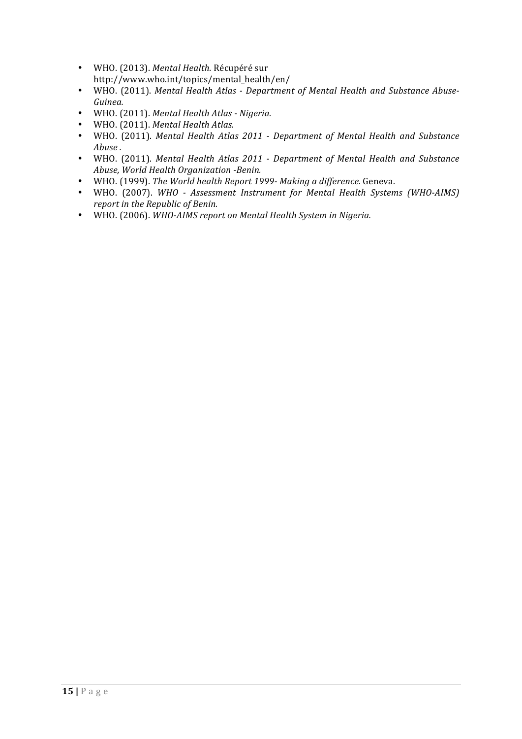- WHO. (2013). *Mental Health.* Récupéré sur http://www.who.int/topics/mental\_health/en/
- WHO. (2011). Mental Health Atlas Department of Mental Health and Substance Abuse-*Guinea.*
- WHO. (2011). *Mental Health Atlas - Nigeria.*
- WHO. (2011). Mental Health Atlas.
- WHO. (2011). Mental Health Atlas 2011 Department of Mental Health and Substance *Abuse .*
- WHO. (2011). Mental Health Atlas 2011 Department of Mental Health and Substance *Abuse, World Health Organization -Benin.*
- WHO. (1999). *The World health Report 1999- Making a difference.* Geneva.
- WHO. (2007). WHO Assessment Instrument for Mental Health Systems (WHO-AIMS) *report in the Republic of Benin.*
- WHO. (2006). WHO-AIMS report on Mental Health System in Nigeria.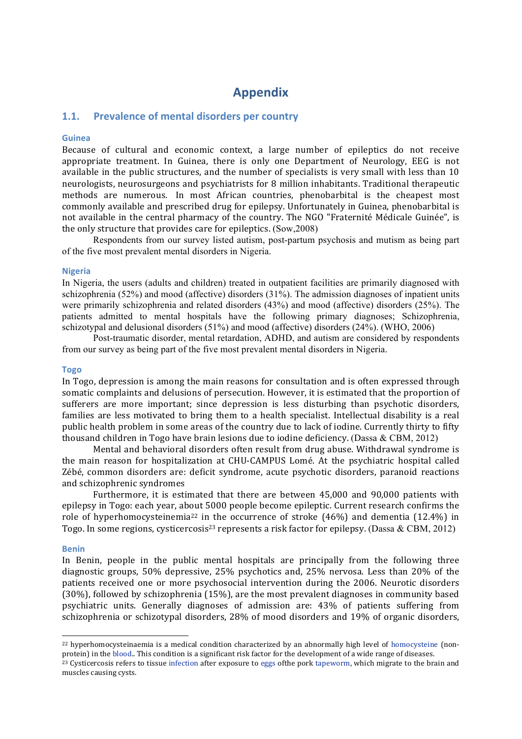# **Appendix**

## **1.1.** Prevalence of mental disorders per country

### **Guinea**

Because of cultural and economic context, a large number of epileptics do not receive appropriate treatment. In Guinea, there is only one Department of Neurology, EEG is not available in the public structures, and the number of specialists is very small with less than 10 neurologists, neurosurgeons and psychiatrists for 8 million inhabitants. Traditional therapeutic methods are numerous. In most African countries, phenobarbital is the cheapest most commonly available and prescribed drug for epilepsy. Unfortunately in Guinea, phenobarbital is not available in the central pharmacy of the country. The NGO "Fraternité Médicale Guinée", is the only structure that provides care for epileptics.  $(Sow, 2008)$ 

Respondents from our survey listed autism, post-partum psychosis and mutism as being part of the five most prevalent mental disorders in Nigeria.

#### **Nigeria**

In Nigeria, the users (adults and children) treated in outpatient facilities are primarily diagnosed with schizophrenia (52%) and mood (affective) disorders (31%). The admission diagnoses of inpatient units were primarily schizophrenia and related disorders (43%) and mood (affective) disorders (25%). The patients admitted to mental hospitals have the following primary diagnoses; Schizophrenia, schizotypal and delusional disorders (51%) and mood (affective) disorders (24%). (WHO, 2006)

Post-traumatic disorder, mental retardation, ADHD, and autism are considered by respondents from our survey as being part of the five most prevalent mental disorders in Nigeria.

#### **Togo**

In Togo, depression is among the main reasons for consultation and is often expressed through somatic complaints and delusions of persecution. However, it is estimated that the proportion of sufferers are more important; since depression is less disturbing than psychotic disorders, families are less motivated to bring them to a health specialist. Intellectual disability is a real public health problem in some areas of the country due to lack of iodine. Currently thirty to fifty thousand children in Togo have brain lesions due to iodine deficiency. (Dassa & CBM, 2012)

Mental and behavioral disorders often result from drug abuse. Withdrawal syndrome is the main reason for hospitalization at CHU-CAMPUS Lomé. At the psychiatric hospital called Zébé, common disorders are: deficit syndrome, acute psychotic disorders, paranoid reactions and schizophrenic syndromes

Furthermore, it is estimated that there are between 45,000 and 90,000 patients with epilepsy in Togo: each year, about 5000 people become epileptic. Current research confirms the role of hyperhomocysteinemia<sup>22</sup> in the occurrence of stroke  $(46%)$  and dementia  $(12.4%)$  in Togo. In some regions, cysticercosis<sup>23</sup> represents a risk factor for epilepsy. (Dassa & CBM, 2012)

#### **Benin**

 

In Benin, people in the public mental hospitals are principally from the following three diagnostic groups, 50% depressive, 25% psychotics and, 25% nervosa. Less than 20% of the patients received one or more psychosocial intervention during the 2006. Neurotic disorders  $(30\%)$ , followed by schizophrenia  $(15\%)$ , are the most prevalent diagnoses in community based psychiatric units. Generally diagnoses of admission are: 43% of patients suffering from schizophrenia or schizotypal disorders, 28% of mood disorders and 19% of organic disorders,

<sup>&</sup>lt;sup>22</sup> hyperhomocysteinaemia is a medical condition characterized by an abnormally high level of homocysteine (nonprotein) in the blood.. This condition is a significant risk factor for the development of a wide range of diseases.

<sup>&</sup>lt;sup>23</sup> Cysticercosis refers to tissue infection after exposure to eggs ofthe pork tapeworm, which migrate to the brain and muscles causing cysts.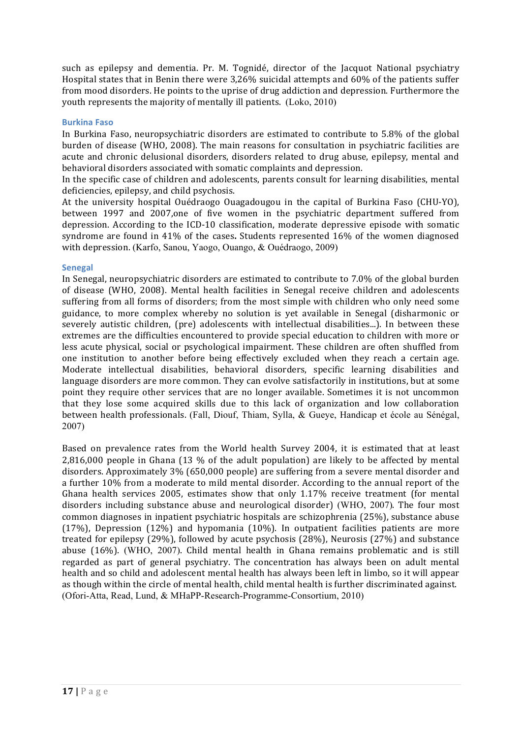such as epilepsy and dementia. Pr. M. Tognidé, director of the Jacquot National psychiatry Hospital states that in Benin there were 3,26% suicidal attempts and 60% of the patients suffer from mood disorders. He points to the uprise of drug addiction and depression. Furthermore the youth represents the majority of mentally ill patients.  $(Loko, 2010)$ 

## **Burkina Faso**

In Burkina Faso, neuropsychiatric disorders are estimated to contribute to  $5.8\%$  of the global burden of disease (WHO, 2008). The main reasons for consultation in psychiatric facilities are acute and chronic delusional disorders, disorders related to drug abuse, epilepsy, mental and behavioral disorders associated with somatic complaints and depression.

In the specific case of children and adolescents, parents consult for learning disabilities, mental deficiencies, epilepsy, and child psychosis.

At the university hospital Ouédraogo Ouagadougou in the capital of Burkina Faso (CHU-YO), between 1997 and 2007,one of five women in the psychiatric department suffered from depression. According to the ICD-10 classification, moderate depressive episode with somatic syndrome are found in 41% of the cases. Students represented 16% of the women diagnosed with depression. (Karfo, Sanou, Yaogo, Ouango, & Ouédraogo, 2009)

## **Senegal**

In Senegal, neuropsychiatric disorders are estimated to contribute to 7.0% of the global burden of disease (WHO, 2008). Mental health facilities in Senegal receive children and adolescents suffering from all forms of disorders; from the most simple with children who only need some guidance, to more complex whereby no solution is yet available in Senegal (disharmonic or severely autistic children, (pre) adolescents with intellectual disabilities...). In between these extremes are the difficulties encountered to provide special education to children with more or less acute physical, social or psychological impairment. These children are often shuffled from one institution to another before being effectively excluded when they reach a certain age. Moderate intellectual disabilities, behavioral disorders, specific learning disabilities and language disorders are more common. They can evolve satisfactorily in institutions, but at some point they require other services that are no longer available. Sometimes it is not uncommon that they lose some acquired skills due to this lack of organization and low collaboration between health professionals. (Fall, Diouf, Thiam, Sylla, & Gueye, Handicap et école au Sénégal, 2007)

Based on prevalence rates from the World health Survey 2004, it is estimated that at least 2,816,000 people in Ghana  $(13\%$  of the adult population) are likely to be affected by mental disorders. Approximately 3% (650,000 people) are suffering from a severe mental disorder and a further 10% from a moderate to mild mental disorder. According to the annual report of the Ghana health services 2005, estimates show that only 1.17% receive treatment (for mental disorders including substance abuse and neurological disorder) (WHO, 2007). The four most common diagnoses in inpatient psychiatric hospitals are schizophrenia (25%), substance abuse (17%), Depression (12%) and hypomania (10%). In outpatient facilities patients are more treated for epilepsy  $(29%)$ , followed by acute psychosis  $(28%)$ , Neurosis  $(27%)$  and substance abuse (16%). (WHO, 2007). Child mental health in Ghana remains problematic and is still regarded as part of general psychiatry. The concentration has always been on adult mental health and so child and adolescent mental health has always been left in limbo, so it will appear as though within the circle of mental health, child mental health is further discriminated against. (Ofori-Atta, Read, Lund, & MHaPP-Research-Programme-Consortium, 2010)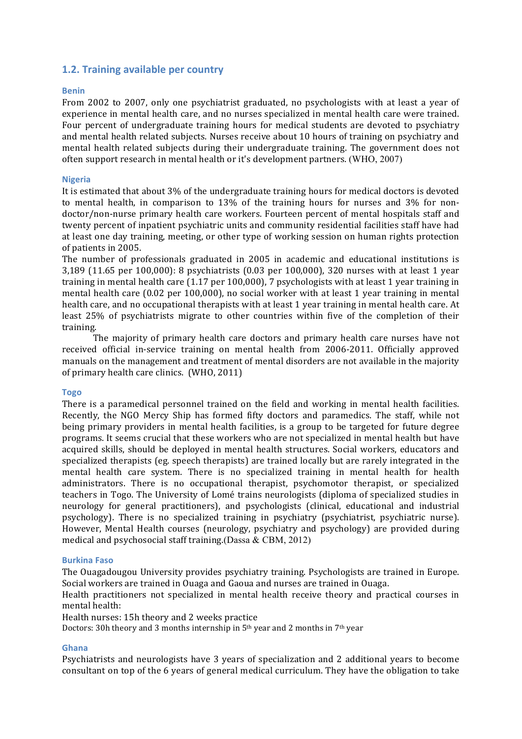## **1.2. Training available per country**

## **Benin**

From 2002 to 2007, only one psychiatrist graduated, no psychologists with at least a year of experience in mental health care, and no nurses specialized in mental health care were trained. Four percent of undergraduate training hours for medical students are devoted to psychiatry and mental health related subjects. Nurses receive about 10 hours of training on psychiatry and mental health related subjects during their undergraduate training. The government does not often support research in mental health or it's development partners. (WHO, 2007)

## **Nigeria**

It is estimated that about  $3\%$  of the undergraduate training hours for medical doctors is devoted to mental health, in comparison to 13% of the training hours for nurses and 3% for nondoctor/non-nurse primary health care workers. Fourteen percent of mental hospitals staff and twenty percent of inpatient psychiatric units and community residential facilities staff have had at least one day training, meeting, or other type of working session on human rights protection of patients in 2005.

The number of professionals graduated in 2005 in academic and educational institutions is 3,189 (11.65 per 100,000): 8 psychiatrists (0.03 per 100,000), 320 nurses with at least 1 year training in mental health care  $(1.17$  per  $100,000$ ), 7 psychologists with at least 1 year training in mental health care (0.02 per 100,000), no social worker with at least 1 vear training in mental health care, and no occupational therapists with at least 1 year training in mental health care. At least 25% of psychiatrists migrate to other countries within five of the completion of their training. 

The majority of primary health care doctors and primary health care nurses have not received official in-service training on mental health from 2006-2011. Officially approved manuals on the management and treatment of mental disorders are not available in the majority of primary health care clinics. (WHO, 2011)

### **Togo**

There is a paramedical personnel trained on the field and working in mental health facilities. Recently, the NGO Mercy Ship has formed fifty doctors and paramedics. The staff, while not being primary providers in mental health facilities, is a group to be targeted for future degree programs. It seems crucial that these workers who are not specialized in mental health but have acquired skills, should be deployed in mental health structures. Social workers, educators and specialized therapists (eg. speech therapists) are trained locally but are rarely integrated in the mental health care system. There is no specialized training in mental health for health administrators. There is no occupational therapist, psychomotor therapist, or specialized teachers in Togo. The University of Lomé trains neurologists (diploma of specialized studies in neurology for general practitioners), and psychologists (clinical, educational and industrial psychology). There is no specialized training in psychiatry (psychiatrist, psychiatric nurse). However, Mental Health courses (neurology, psychiatry and psychology) are provided during medical and psychosocial staff training.(Dassa  $&$  CBM, 2012)

### **Burkina Faso**

The Ouagadougou University provides psychiatry training. Psychologists are trained in Europe. Social workers are trained in Ouaga and Gaoua and nurses are trained in Ouaga.

Health practitioners not specialized in mental health receive theory and practical courses in mental health:

### Health nurses: 15h theory and 2 weeks practice

Doctors: 30h theory and 3 months internship in  $5<sup>th</sup>$  year and 2 months in 7<sup>th</sup> year

## **Ghana**

Psychiatrists and neurologists have 3 years of specialization and 2 additional years to become consultant on top of the 6 years of general medical curriculum. They have the obligation to take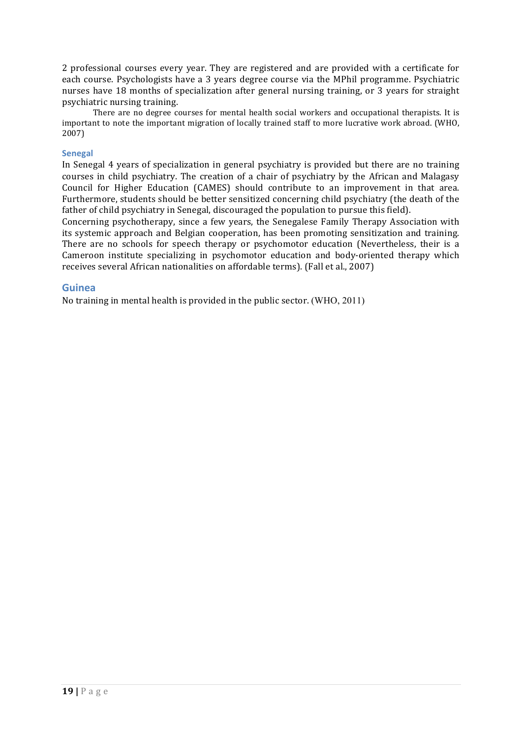2 professional courses every year. They are registered and are provided with a certificate for each course. Psychologists have a 3 years degree course via the MPhil programme. Psychiatric nurses have 18 months of specialization after general nursing training, or 3 years for straight psychiatric nursing training.

There are no degree courses for mental health social workers and occupational therapists. It is important to note the important migration of locally trained staff to more lucrative work abroad. (WHO, 2007)

## **Senegal**

In Senegal 4 years of specialization in general psychiatry is provided but there are no training courses in child psychiatry. The creation of a chair of psychiatry by the African and Malagasy Council for Higher Education (CAMES) should contribute to an improvement in that area. Furthermore, students should be better sensitized concerning child psychiatry (the death of the father of child psychiatry in Senegal, discouraged the population to pursue this field).

Concerning psychotherapy, since a few years, the Senegalese Family Therapy Association with its systemic approach and Belgian cooperation, has been promoting sensitization and training. There are no schools for speech therapy or psychomotor education (Nevertheless, their is a Cameroon institute specializing in psychomotor education and body-oriented therapy which receives several African nationalities on affordable terms). (Fall et al., 2007)

## **Guinea**

No training in mental health is provided in the public sector. (WHO, 2011)